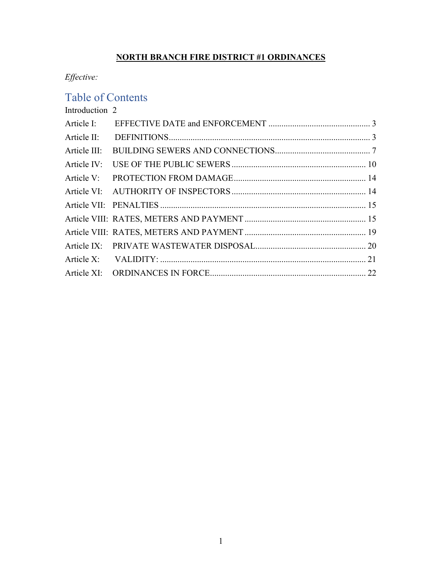## **NORTH BRANCH FIRE DISTRICT #1 ORDINANCES**

*Effective:* 

# Table of Contents

[Introduction](#page-1-0) 2

| Article I:   |  |
|--------------|--|
| Article II:  |  |
| Article III: |  |
| Article IV:  |  |
| Article V:   |  |
|              |  |
|              |  |
|              |  |
|              |  |
|              |  |
|              |  |
|              |  |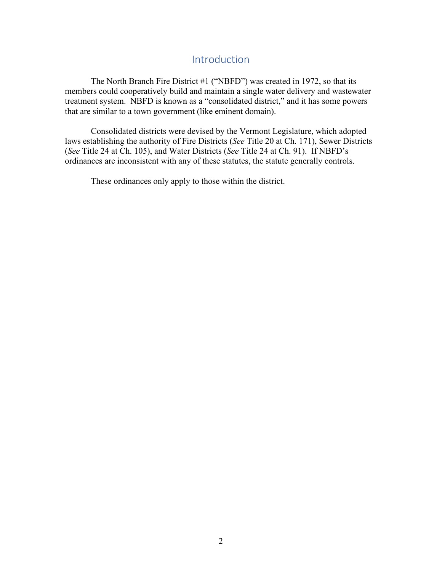## Introduction

<span id="page-1-0"></span>The North Branch Fire District #1 ("NBFD") was created in 1972, so that its members could cooperatively build and maintain a single water delivery and wastewater treatment system. NBFD is known as a "consolidated district," and it has some powers that are similar to a town government (like eminent domain).

Consolidated districts were devised by the Vermont Legislature, which adopted laws establishing the authority of Fire Districts (*See* Title 20 at Ch. 171), Sewer Districts (*See* Title 24 at Ch. 105), and Water Districts (*See* Title 24 at Ch. 91). If NBFD's ordinances are inconsistent with any of these statutes, the statute generally controls.

These ordinances only apply to those within the district.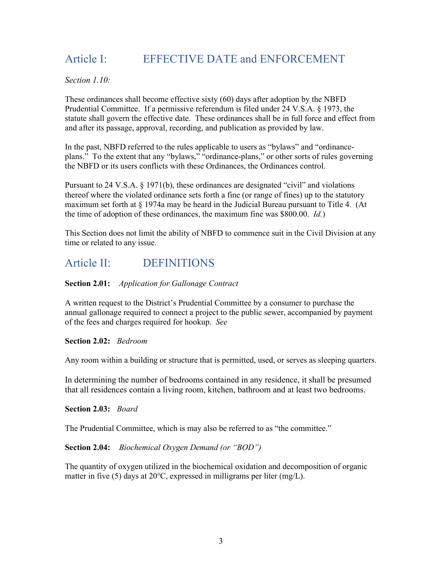# <span id="page-2-0"></span>Article I: EFFECTIVE DATE and ENFORCEMENT

*Section 1.10:*

These ordinances shall become effective sixty (60) days after adoption by the NBFD Prudential Committee. If a permissive referendum is filed under 24 V.S.A. § 1973, the statute shall govern the effective date. These ordinances shall be in full force and effect from and after its passage, approval, recording, and publication as provided by law.

In the past, NBFD referred to the rules applicable to users as "bylaws" and "ordinanceplans." To the extent that any "bylaws," "ordinance-plans," or other sorts of rules governing the NBFD or its users conflicts with these Ordinances, the Ordinances control.

Pursuant to 24 V.S.A. § 1971(b), these ordinances are designated "civil" and violations thereof where the violated ordinance sets forth a fine (or range of fines) up to the statutory maximum set forth at § 1974a may be heard in the Judicial Bureau pursuant to Title 4. (At the time of adoption of these ordinances, the maximum fine was \$800.00. *Id.*)

This Section does not limit the ability of NBFD to commence suit in the Civil Division at any time or related to any issue.

## <span id="page-2-1"></span>Article II: DEFINITIONS

### **Section 2.01:** *Application for Gallonage Contract*

A written request to the District's Prudential Committee by a consumer to purchase the annual gallonage required to connect a project to the public sewer, accompanied by payment of the fees and charges required for hookup. *See*

#### **Section 2.02:** *Bedroom*

Any room within a building or structure that is permitted, used, or serves as sleeping quarters.

In determining the number of bedrooms contained in any residence, it shall be presumed that all residences contain a living room, kitchen, bathroom and at least two bedrooms.

**Section 2.03:** *Board*

The Prudential Committee, which is may also be referred to as "the committee."

#### **Section 2.04:** *Biochemical Oxygen Demand (or "BOD")*

The quantity of oxygen utilized in the biochemical oxidation and decomposition of organic matter in five (5) days at 20℃, expressed in milligrams per liter (mg/L).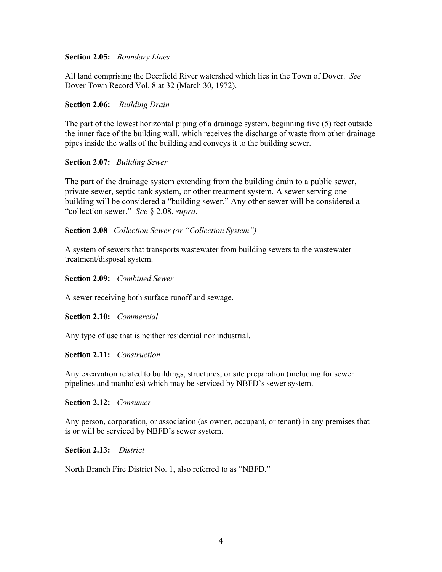#### **Section 2.05:** *Boundary Lines*

All land comprising the Deerfield River watershed which lies in the Town of Dover. *See* Dover Town Record Vol. 8 at 32 (March 30, 1972).

#### **Section 2.06:** *Building Drain*

The part of the lowest horizontal piping of a drainage system, beginning five (5) feet outside the inner face of the building wall, which receives the discharge of waste from other drainage pipes inside the walls of the building and conveys it to the building sewer.

#### **Section 2.07:** *Building Sewer*

The part of the drainage system extending from the building drain to a public sewer, private sewer, septic tank system, or other treatment system. A sewer serving one building will be considered a "building sewer." Any other sewer will be considered a "collection sewer." *See* § 2.08, *supra*.

#### **Section 2.08** *Collection Sewer (or "Collection System")*

A system of sewers that transports wastewater from building sewers to the wastewater treatment/disposal system.

**Section 2.09:** *Combined Sewer*

A sewer receiving both surface runoff and sewage.

#### **Section 2.10:** *Commercial*

Any type of use that is neither residential nor industrial.

#### **Section 2.11:** *Construction*

Any excavation related to buildings, structures, or site preparation (including for sewer pipelines and manholes) which may be serviced by NBFD's sewer system.

#### **Section 2.12:** *Consumer*

Any person, corporation, or association (as owner, occupant, or tenant) in any premises that is or will be serviced by NBFD's sewer system.

#### **Section 2.13:** *District*

North Branch Fire District No. 1, also referred to as "NBFD."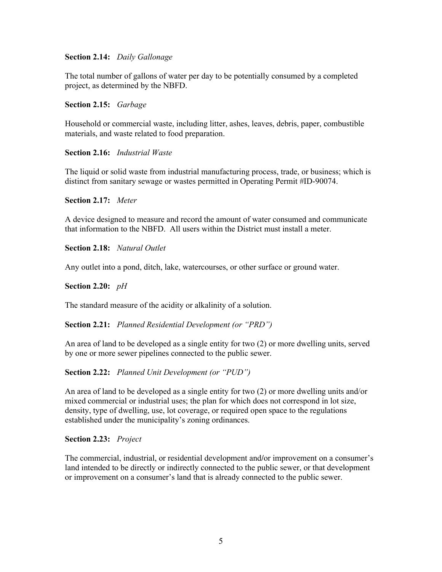#### **Section 2.14:** *Daily Gallonage*

The total number of gallons of water per day to be potentially consumed by a completed project, as determined by the NBFD.

**Section 2.15:** *Garbage*

Household or commercial waste, including litter, ashes, leaves, debris, paper, combustible materials, and waste related to food preparation.

#### **Section 2.16:** *Industrial Waste*

The liquid or solid waste from industrial manufacturing process, trade, or business; which is distinct from sanitary sewage or wastes permitted in Operating Permit #ID-90074.

**Section 2.17:** *Meter*

A device designed to measure and record the amount of water consumed and communicate that information to the NBFD. All users within the District must install a meter.

**Section 2.18:** *Natural Outlet*

Any outlet into a pond, ditch, lake, watercourses, or other surface or ground water.

**Section 2.20:** *pH*

The standard measure of the acidity or alkalinity of a solution.

**Section 2.21:** *Planned Residential Development (or "PRD")*

An area of land to be developed as a single entity for two (2) or more dwelling units, served by one or more sewer pipelines connected to the public sewer.

**Section 2.22:** *Planned Unit Development (or "PUD")*

An area of land to be developed as a single entity for two (2) or more dwelling units and/or mixed commercial or industrial uses; the plan for which does not correspond in lot size, density, type of dwelling, use, lot coverage, or required open space to the regulations established under the municipality's zoning ordinances.

#### **Section 2.23:** *Project*

The commercial, industrial, or residential development and**/**or improvement on a consumer's land intended to be directly or indirectly connected to the public sewer, or that development or improvement on a consumer's land that is already connected to the public sewer.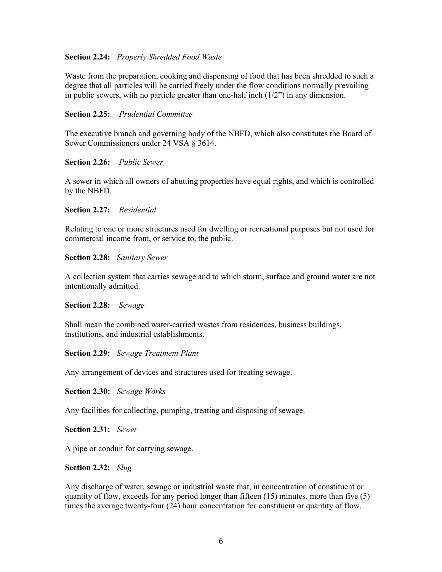#### **Section 2.24:** *Properly Shredded Food Waste*

Waste from the preparation, cooking and dispensing of food that has been shredded to such a degree that all particles will be carried freely under the flow conditions normally prevailing in public sewers, with no particle greater than one-half inch  $(1/2)$  in any dimension.

#### **Section 2.25:** *Prudential Committee*

The executive branch and governing body of the NBFD, which also constitutes the Board of Sewer Commissioners under 24 VSA § 3614.

#### **Section 2.26:** *Public Sewer*

A sewer in which all owners of abutting properties have equal rights, and which is controlled by the NBFD.

#### **Section 2.27:** *Residential*

Relating to one or more structures used for dwelling or recreational purposes but not used for commercial income from, or service to, the public.

#### **Section 2.28:** *Sanitary Sewer*

A collection system that carries sewage and to which storm, surface and ground water are not intentionally admitted.

#### **Section 2.28:** *Sewage*

Shall mean the combined water-carried wastes from residences, business buildings, institutions, and industrial establishments.

#### **Section 2.29:** *Sewage Treatment Plant*

Any arrangement of devices and structures used for treating sewage.

**Section 2.30:** *Sewage Works*

Any facilities for collecting, pumping, treating and disposing of sewage.

**Section 2.31:** *Sewer*

A pipe or conduit for carrying sewage.

#### **Section 2.32:** *Slug*

Any discharge of water, sewage or industrial waste that, in concentration of constituent or quantity of flow, exceeds for any period longer than fifteen (15) minutes, more than five (5) times the average twenty-four (24) hour concentration for constituent or quantity of flow.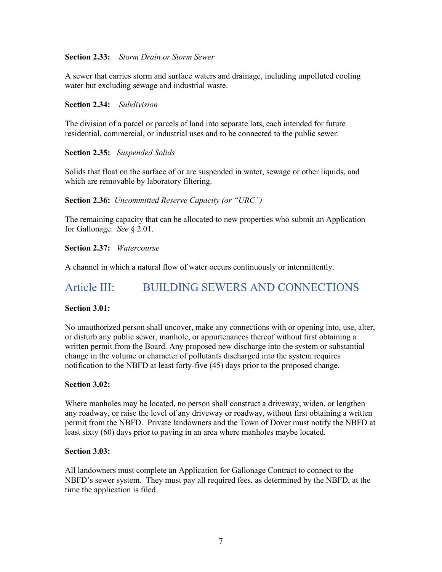#### **Section 2.33:** *Storm Drain or Storm Sewer*

A sewer that carries storm and surface waters and drainage, including unpolluted cooling water but excluding sewage and industrial waste.

#### **Section 2.34:** *Subdivision*

The division of a parcel or parcels of land into separate lots, each intended for future residential, commercial, or industrial uses and to be connected to the public sewer.

## **Section 2.35:** *Suspended Solids*

Solids that float on the surface of or are suspended in water, sewage or other liquids, and which are removable by laboratory filtering.

#### **Section 2.36:** *Uncommitted Reserve Capacity (or "URC")*

The remaining capacity that can be allocated to new properties who submit an Application for Gallonage. *See* § 2.01.

#### **Section 2.37:** *Watercourse*

<span id="page-6-0"></span>A channel in which a natural flow of water occurs continuously or intermittently.

## Article III: BUILDING SEWERS AND CONNECTIONS

#### **Section 3.01:**

No unauthorized person shall uncover, make any connections with or opening into, use, alter, or disturb any public sewer, manhole, or appurtenances thereof without first obtaining a written permit from the Board. Any proposed new discharge into the system or substantial change in the volume or character of pollutants discharged into the system requires notification to the NBFD at least forty-five (45) days prior to the proposed change.

#### **Section 3.02:**

Where manholes may be located, no person shall construct a driveway, widen, or lengthen any roadway, or raise the level of any driveway or roadway, without first obtaining a written permit from the NBFD. Private landowners and the Town of Dover must notify the NBFD at least sixty (60) days prior to paving in an area where manholes maybe located.

#### **Section 3.03:**

All landowners must complete an Application for Gallonage Contract to connect to the NBFD's sewer system. They must pay all required fees, as determined by the NBFD, at the time the application is filed.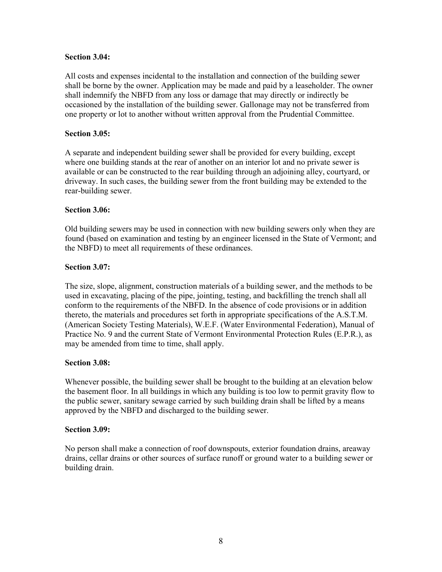#### **Section 3.04:**

All costs and expenses incidental to the installation and connection of the building sewer shall be borne by the owner. Application may be made and paid by a leaseholder. The owner shall indemnify the NBFD from any loss or damage that may directly or indirectly be occasioned by the installation of the building sewer. Gallonage may not be transferred from one property or lot to another without written approval from the Prudential Committee.

#### **Section 3.05:**

A separate and independent building sewer shall be provided for every building, except where one building stands at the rear of another on an interior lot and no private sewer is available or can be constructed to the rear building through an adjoining alley, courtyard, or driveway. In such cases, the building sewer from the front building may be extended to the rear-building sewer.

#### **Section 3.06:**

Old building sewers may be used in connection with new building sewers only when they are found (based on examination and testing by an engineer licensed in the State of Vermont; and the NBFD) to meet all requirements of these ordinances.

#### **Section 3.07:**

The size, slope, alignment, construction materials of a building sewer, and the methods to be used in excavating, placing of the pipe, jointing, testing, and backfilling the trench shall all conform to the requirements of the NBFD. In the absence of code provisions or in addition thereto, the materials and procedures set forth in appropriate specifications of the A.S.T.M. (American Society Testing Materials), W.E.F. (Water Environmental Federation), Manual of Practice No. 9 and the current State of Vermont Environmental Protection Rules (E.P.R.), as may be amended from time to time, shall apply.

#### **Section 3.08:**

Whenever possible, the building sewer shall be brought to the building at an elevation below the basement floor. In all buildings in which any building is too low to permit gravity flow to the public sewer, sanitary sewage carried by such building drain shall be lifted by a means approved by the NBFD and discharged to the building sewer.

#### **Section 3.09:**

No person shall make a connection of roof downspouts, exterior foundation drains, areaway drains, cellar drains or other sources of surface runoff or ground water to a building sewer or building drain.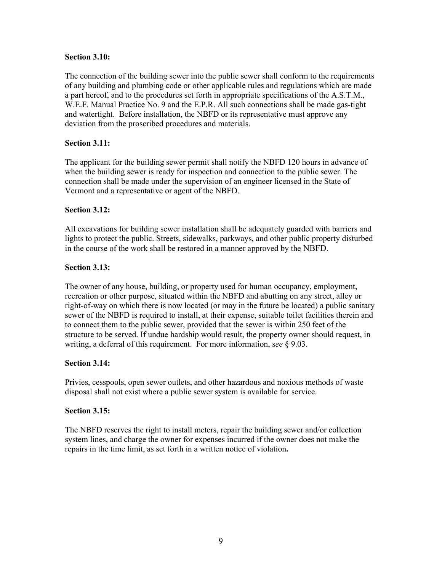#### **Section 3.10:**

The connection of the building sewer into the public sewer shall conform to the requirements of any building and plumbing code or other applicable rules and regulations which are made a part hereof, and to the procedures set forth in appropriate specifications of the A.S.T.M., W.E.F. Manual Practice No. 9 and the E.P.R. All such connections shall be made gas-tight and watertight. Before installation, the NBFD or its representative must approve any deviation from the proscribed procedures and materials.

## **Section 3.11:**

The applicant for the building sewer permit shall notify the NBFD 120 hours in advance of when the building sewer is ready for inspection and connection to the public sewer. The connection shall be made under the supervision of an engineer licensed in the State of Vermont and a representative or agent of the NBFD.

#### **Section 3.12:**

All excavations for building sewer installation shall be adequately guarded with barriers and lights to protect the public. Streets, sidewalks, parkways, and other public property disturbed in the course of the work shall be restored in a manner approved by the NBFD.

#### **Section 3.13:**

The owner of any house, building, or property used for human occupancy, employment, recreation or other purpose, situated within the NBFD and abutting on any street, alley or right-of-way on which there is now located (or may in the future be located) a public sanitary sewer of the NBFD is required to install, at their expense, suitable toilet facilities therein and to connect them to the public sewer, provided that the sewer is within 250 feet of the structure to be served. If undue hardship would result, the property owner should request, in writing, a deferral of this requirement. For more information, s*ee* § 9.03.

#### **Section 3.14:**

Privies, cesspools, open sewer outlets, and other hazardous and noxious methods of waste disposal shall not exist where a public sewer system is available for service.

#### **Section 3.15:**

The NBFD reserves the right to install meters, repair the building sewer and/or collection system lines, and charge the owner for expenses incurred if the owner does not make the repairs in the time limit, as set forth in a written notice of violation**.**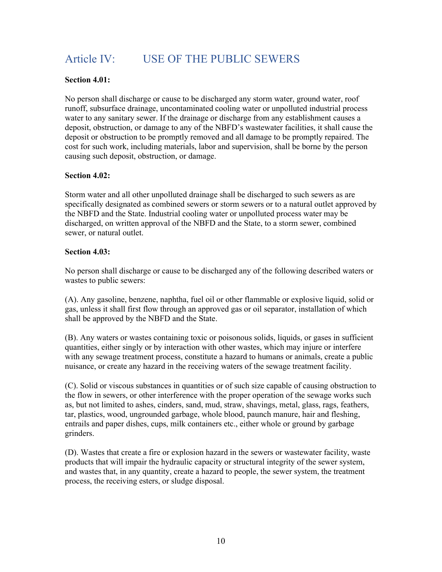# <span id="page-9-0"></span>Article IV: USE OF THE PUBLIC SEWERS

## **Section 4.01:**

No person shall discharge or cause to be discharged any storm water, ground water, roof runoff, subsurface drainage, uncontaminated cooling water or unpolluted industrial process water to any sanitary sewer. If the drainage or discharge from any establishment causes a deposit, obstruction, or damage to any of the NBFD's wastewater facilities, it shall cause the deposit or obstruction to be promptly removed and all damage to be promptly repaired. The cost for such work, including materials, labor and supervision, shall be borne by the person causing such deposit, obstruction, or damage.

#### **Section 4.02:**

Storm water and all other unpolluted drainage shall be discharged to such sewers as are specifically designated as combined sewers or storm sewers or to a natural outlet approved by the NBFD and the State. Industrial cooling water or unpolluted process water may be discharged, on written approval of the NBFD and the State, to a storm sewer, combined sewer, or natural outlet.

#### **Section 4.03:**

No person shall discharge or cause to be discharged any of the following described waters or wastes to public sewers:

(A). Any gasoline, benzene, naphtha, fuel oil or other flammable or explosive liquid, solid or gas, unless it shall first flow through an approved gas or oil separator, installation of which shall be approved by the NBFD and the State.

(B). Any waters or wastes containing toxic or poisonous solids, liquids, or gases in sufficient quantities, either singly or by interaction with other wastes, which may injure or interfere with any sewage treatment process, constitute a hazard to humans or animals, create a public nuisance, or create any hazard in the receiving waters of the sewage treatment facility.

(C). Solid or viscous substances in quantities or of such size capable of causing obstruction to the flow in sewers, or other interference with the proper operation of the sewage works such as, but not limited to ashes, cinders, sand, mud, straw, shavings, metal, glass, rags, feathers, tar, plastics, wood, ungrounded garbage, whole blood, paunch manure, hair and fleshing, entrails and paper dishes, cups, milk containers etc., either whole or ground by garbage grinders.

(D). Wastes that create a fire or explosion hazard in the sewers or wastewater facility, waste products that will impair the hydraulic capacity or structural integrity of the sewer system, and wastes that, in any quantity, create a hazard to people, the sewer system, the treatment process, the receiving esters, or sludge disposal.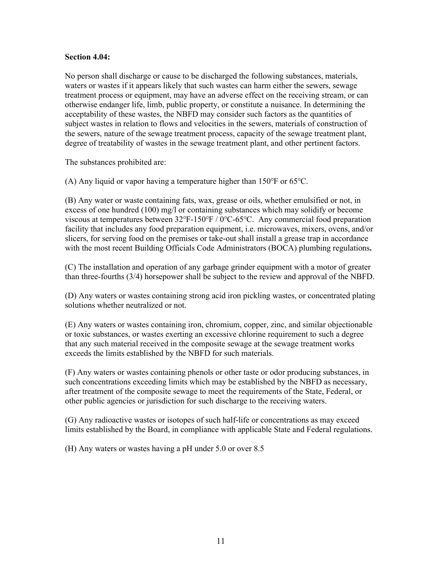#### **Section 4.04:**

No person shall discharge or cause to be discharged the following substances, materials, waters or wastes if it appears likely that such wastes can harm either the sewers, sewage treatment process or equipment, may have an adverse effect on the receiving stream, or can otherwise endanger life, limb, public property, or constitute a nuisance. In determining the acceptability of these wastes, the NBFD may consider such factors as the quantities of subject wastes in relation to flows and velocities in the sewers, materials of construction of the sewers, nature of the sewage treatment process, capacity of the sewage treatment plant, degree of treatability of wastes in the sewage treatment plant, and other pertinent factors.

The substances prohibited are:

(A) Any liquid or vapor having a temperature higher than 150℉ or 65℃.

(B) Any water or waste containing fats, wax, grease or oils, whether emulsified or not, in excess of one hundred (100) mg/l or containing substances which may solidify or become viscous at temperatures between 32℉-150℉ / 0℃-65℃. Any commercial food preparation facility that includes any food preparation equipment, i.e. microwaves, mixers, ovens, and/or slicers, for serving food on the premises or take-out shall install a grease trap in accordance with the most recent Building Officials Code Administrators (BOCA) plumbing regulations**.**

(C) The installation and operation of any garbage grinder equipment with a motor of greater than three-fourths (3/4) horsepower shall be subject to the review and approval of the NBFD.

(D) Any waters or wastes containing strong acid iron pickling wastes, or concentrated plating solutions whether neutralized or not.

(E) Any waters or wastes containing iron, chromium, copper, zinc, and similar objectionable or toxic substances, or wastes exerting an excessive chlorine requirement to such a degree that any such material received in the composite sewage at the sewage treatment works exceeds the limits established by the NBFD for such materials.

(F) Any waters or wastes containing phenols or other taste or odor producing substances, in such concentrations exceeding limits which may be established by the NBFD as necessary, after treatment of the composite sewage to meet the requirements of the State, Federal, or other public agencies or jurisdiction for such discharge to the receiving waters.

(G) Any radioactive wastes or isotopes of such half-life or concentrations as may exceed limits established by the Board, in compliance with applicable State and Federal regulations.

(H) Any waters or wastes having a pH under 5.0 or over 8.5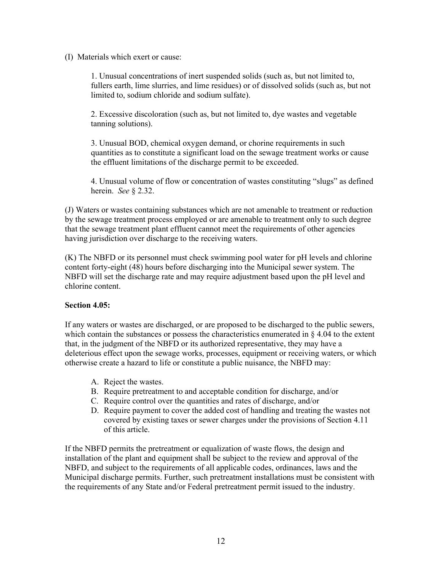(I) Materials which exert or cause:

1. Unusual concentrations of inert suspended solids (such as, but not limited to, fullers earth, lime slurries, and lime residues) or of dissolved solids (such as, but not limited to, sodium chloride and sodium sulfate).

2. Excessive discoloration (such as, but not limited to, dye wastes and vegetable tanning solutions).

3. Unusual BOD, chemical oxygen demand, or chorine requirements in such quantities as to constitute a significant load on the sewage treatment works or cause the effluent limitations of the discharge permit to be exceeded.

4. Unusual volume of flow or concentration of wastes constituting "slugs" as defined herein. *See* § 2.32.

(J) Waters or wastes containing substances which are not amenable to treatment or reduction by the sewage treatment process employed or are amenable to treatment only to such degree that the sewage treatment plant effluent cannot meet the requirements of other agencies having jurisdiction over discharge to the receiving waters.

(K) The NBFD or its personnel must check swimming pool water for pH levels and chlorine content forty-eight (48) hours before discharging into the Municipal sewer system. The NBFD will set the discharge rate and may require adjustment based upon the pH level and chlorine content.

## **Section 4.05:**

If any waters or wastes are discharged, or are proposed to be discharged to the public sewers, which contain the substances or possess the characteristics enumerated in  $\S 4.04$  to the extent that, in the judgment of the NBFD or its authorized representative, they may have a deleterious effect upon the sewage works, processes, equipment or receiving waters, or which otherwise create a hazard to life or constitute a public nuisance, the NBFD may:

- A. Reject the wastes.
- B. Require pretreatment to and acceptable condition for discharge, and/or
- C. Require control over the quantities and rates of discharge, and/or
- D. Require payment to cover the added cost of handling and treating the wastes not covered by existing taxes or sewer charges under the provisions of Section 4.11 of this article.

If the NBFD permits the pretreatment or equalization of waste flows, the design and installation of the plant and equipment shall be subject to the review and approval of the NBFD, and subject to the requirements of all applicable codes, ordinances, laws and the Municipal discharge permits. Further, such pretreatment installations must be consistent with the requirements of any State and/or Federal pretreatment permit issued to the industry.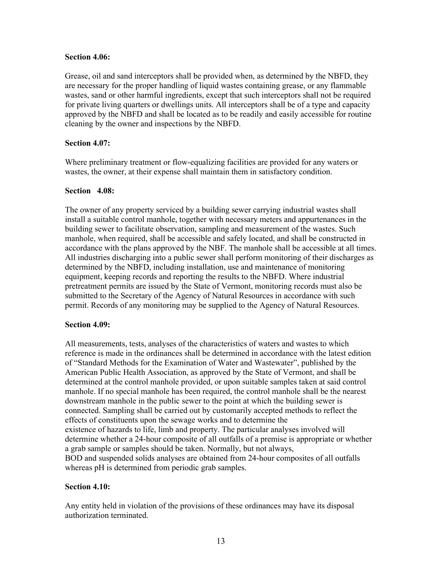#### **Section 4.06:**

Grease, oil and sand interceptors shall be provided when, as determined by the NBFD, they are necessary for the proper handling of liquid wastes containing grease, or any flammable wastes, sand or other harmful ingredients, except that such interceptors shall not be required for private living quarters or dwellings units. All interceptors shall be of a type and capacity approved by the NBFD and shall be located as to be readily and easily accessible for routine cleaning by the owner and inspections by the NBFD.

#### **Section 4.07:**

Where preliminary treatment or flow-equalizing facilities are provided for any waters or wastes, the owner, at their expense shall maintain them in satisfactory condition.

#### **Section 4.08:**

The owner of any property serviced by a building sewer carrying industrial wastes shall install a suitable control manhole, together with necessary meters and appurtenances in the building sewer to facilitate observation, sampling and measurement of the wastes. Such manhole, when required, shall be accessible and safely located, and shall be constructed in accordance with the plans approved by the NBF. The manhole shall be accessible at all times. All industries discharging into a public sewer shall perform monitoring of their discharges as determined by the NBFD, including installation, use and maintenance of monitoring equipment, keeping records and reporting the results to the NBFD. Where industrial pretreatment permits are issued by the State of Vermont, monitoring records must also be submitted to the Secretary of the Agency of Natural Resources in accordance with such permit. Records of any monitoring may be supplied to the Agency of Natural Resources.

#### **Section 4.09:**

All measurements, tests, analyses of the characteristics of waters and wastes to which reference is made in the ordinances shall be determined in accordance with the latest edition of "Standard Methods for the Examination of Water and Wastewater", published by the American Public Health Association, as approved by the State of Vermont, and shall be determined at the control manhole provided, or upon suitable samples taken at said control manhole. If no special manhole has been required, the control manhole shall be the nearest downstream manhole in the public sewer to the point at which the building sewer is connected. Sampling shall be carried out by customarily accepted methods to reflect the effects of constituents upon the sewage works and to determine the existence of hazards to life, limb and property. The particular analyses involved will determine whether a 24-hour composite of all outfalls of a premise is appropriate or whether a grab sample or samples should be taken. Normally, but not always, BOD and suspended solids analyses are obtained from 24-hour composites of all outfalls whereas pH is determined from periodic grab samples.

## **Section 4.10:**

Any entity held in violation of the provisions of these ordinances may have its disposal authorization terminated.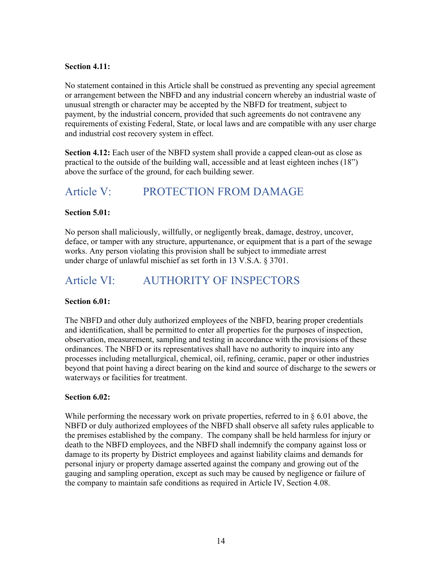## **Section 4.11:**

No statement contained in this Article shall be construed as preventing any special agreement or arrangement between the NBFD and any industrial concern whereby an industrial waste of unusual strength or character may be accepted by the NBFD for treatment, subject to payment, by the industrial concern, provided that such agreements do not contravene any requirements of existing Federal, State, or local laws and are compatible with any user charge and industrial cost recovery system in effect.

**Section 4.12:** Each user of the NBFD system shall provide a capped clean-out as close as practical to the outside of the building wall, accessible and at least eighteen inches (18") above the surface of the ground, for each building sewer.

## <span id="page-13-0"></span>Article V: PROTECTION FROM DAMAGE

## **Section 5.01:**

No person shall maliciously, willfully, or negligently break, damage, destroy, uncover, deface, or tamper with any structure, appurtenance, or equipment that is a part of the sewage works. Any person violating this provision shall be subject to immediate arrest under charge of unlawful mischief as set forth in 13 V.S.A. § 3701.

# <span id="page-13-1"></span>Article VI: AUTHORITY OF INSPECTORS

## **Section 6.01:**

The NBFD and other duly authorized employees of the NBFD, bearing proper credentials and identification, shall be permitted to enter all properties for the purposes of inspection, observation, measurement, sampling and testing in accordance with the provisions of these ordinances. The NBFD or its representatives shall have no authority to inquire into any processes including metallurgical, chemical, oil, refining, ceramic, paper or other industries beyond that point having a direct bearing on the kind and source of discharge to the sewers or waterways or facilities for treatment.

## **Section 6.02:**

While performing the necessary work on private properties, referred to in  $\S 6.01$  above, the NBFD or duly authorized employees of the NBFD shall observe all safety rules applicable to the premises established by the company. The company shall be held harmless for injury or death to the NBFD employees, and the NBFD shall indemnify the company against loss or damage to its property by District employees and against liability claims and demands for personal injury or property damage asserted against the company and growing out of the gauging and sampling operation, except as such may be caused by negligence or failure of the company to maintain safe conditions as required in Article IV, Section 4.08.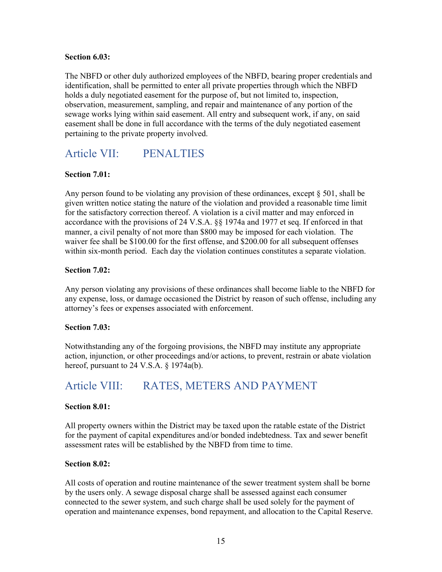#### **Section 6.03:**

The NBFD or other duly authorized employees of the NBFD, bearing proper credentials and identification, shall be permitted to enter all private properties through which the NBFD holds a duly negotiated easement for the purpose of, but not limited to, inspection, observation, measurement, sampling, and repair and maintenance of any portion of the sewage works lying within said easement. All entry and subsequent work, if any, on said easement shall be done in full accordance with the terms of the duly negotiated easement pertaining to the private property involved.

# <span id="page-14-0"></span>Article VII: PENALTIES

## **Section 7.01:**

Any person found to be violating any provision of these ordinances, except  $\S 501$ , shall be given written notice stating the nature of the violation and provided a reasonable time limit for the satisfactory correction thereof. A violation is a civil matter and may enforced in accordance with the provisions of 24 V.S.A. §§ 1974a and 1977 et seq. If enforced in that manner, a civil penalty of not more than \$800 may be imposed for each violation. The waiver fee shall be \$100.00 for the first offense, and \$200.00 for all subsequent offenses within six-month period. Each day the violation continues constitutes a separate violation.

## **Section 7.02:**

Any person violating any provisions of these ordinances shall become liable to the NBFD for any expense, loss, or damage occasioned the District by reason of such offense, including any attorney's fees or expenses associated with enforcement.

## **Section 7.03:**

Notwithstanding any of the forgoing provisions, the NBFD may institute any appropriate action, injunction, or other proceedings and/or actions, to prevent, restrain or abate violation hereof, pursuant to 24 V.S.A. § 1974a(b).

## <span id="page-14-1"></span>Article VIII: RATES, METERS AND PAYMENT

## **Section 8.01:**

All property owners within the District may be taxed upon the ratable estate of the District for the payment of capital expenditures and/or bonded indebtedness. Tax and sewer benefit assessment rates will be established by the NBFD from time to time.

## **Section 8.02:**

All costs of operation and routine maintenance of the sewer treatment system shall be borne by the users only. A sewage disposal charge shall be assessed against each consumer connected to the sewer system, and such charge shall be used solely for the payment of operation and maintenance expenses, bond repayment, and allocation to the Capital Reserve.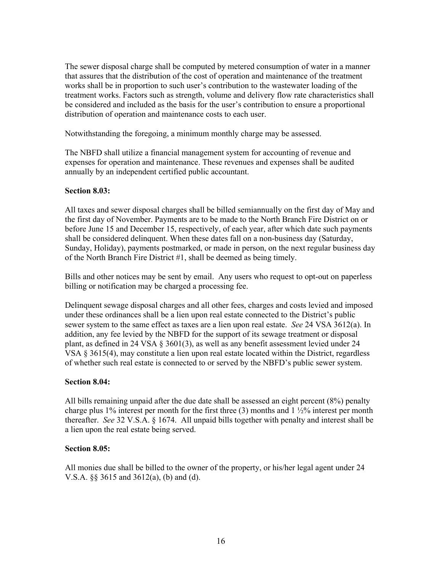The sewer disposal charge shall be computed by metered consumption of water in a manner that assures that the distribution of the cost of operation and maintenance of the treatment works shall be in proportion to such user's contribution to the wastewater loading of the treatment works. Factors such as strength, volume and delivery flow rate characteristics shall be considered and included as the basis for the user's contribution to ensure a proportional distribution of operation and maintenance costs to each user.

Notwithstanding the foregoing, a minimum monthly charge may be assessed.

The NBFD shall utilize a financial management system for accounting of revenue and expenses for operation and maintenance. These revenues and expenses shall be audited annually by an independent certified public accountant.

#### **Section 8.03:**

All taxes and sewer disposal charges shall be billed semiannually on the first day of May and the first day of November. Payments are to be made to the North Branch Fire District on or before June 15 and December 15, respectively, of each year, after which date such payments shall be considered delinquent. When these dates fall on a non-business day (Saturday, Sunday, Holiday), payments postmarked, or made in person, on the next regular business day of the North Branch Fire District #1, shall be deemed as being timely.

Bills and other notices may be sent by email. Any users who request to opt-out on paperless billing or notification may be charged a processing fee.

Delinquent sewage disposal charges and all other fees, charges and costs levied and imposed under these ordinances shall be a lien upon real estate connected to the District's public sewer system to the same effect as taxes are a lien upon real estate. *See* 24 VSA 3612(a). In addition, any fee levied by the NBFD for the support of its sewage treatment or disposal plant, as defined in 24 VSA § 3601(3), as well as any benefit assessment levied under 24 VSA  $\S 3615(4)$ , may constitute a lien upon real estate located within the District, regardless of whether such real estate is connected to or served by the NBFD's public sewer system.

## **Section 8.04:**

All bills remaining unpaid after the due date shall be assessed an eight percent (8%) penalty charge plus 1% interest per month for the first three  $(3)$  months and 1  $\frac{1}{2}\%$  interest per month thereafter. *See* 32 V.S.A. § 1674. All unpaid bills together with penalty and interest shall be a lien upon the real estate being served.

## **Section 8.05:**

All monies due shall be billed to the owner of the property, or his/her legal agent under 24 V.S.A. §§ 3615 and 3612(a), (b) and (d).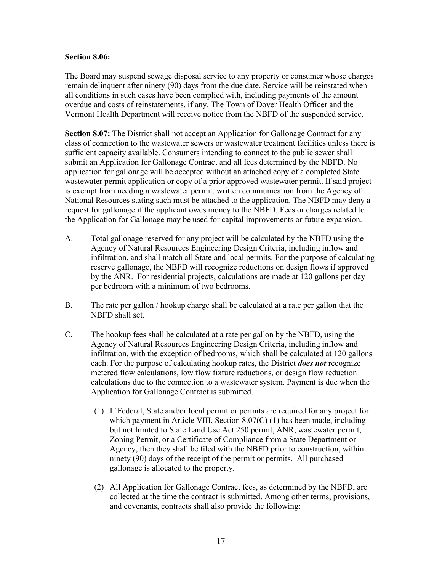#### **Section 8.06:**

The Board may suspend sewage disposal service to any property or consumer whose charges remain delinquent after ninety (90) days from the due date. Service will be reinstated when all conditions in such cases have been complied with, including payments of the amount overdue and costs of reinstatements, if any. The Town of Dover Health Officer and the Vermont Health Department will receive notice from the NBFD of the suspended service.

**Section 8.07:** The District shall not accept an Application for Gallonage Contract for any class of connection to the wastewater sewers or wastewater treatment facilities unless there is sufficient capacity available. Consumers intending to connect to the public sewer shall submit an Application for Gallonage Contract and all fees determined by the NBFD. No application for gallonage will be accepted without an attached copy of a completed State wastewater permit application or copy of a prior approved wastewater permit. If said project is exempt from needing a wastewater permit, written communication from the Agency of National Resources stating such must be attached to the application. The NBFD may deny a request for gallonage if the applicant owes money to the NBFD. Fees or charges related to the Application for Gallonage may be used for capital improvements or future expansion.

- A. Total gallonage reserved for any project will be calculated by the NBFD using the Agency of Natural Resources Engineering Design Criteria, including inflow and infiltration, and shall match all State and local permits. For the purpose of calculating reserve gallonage, the NBFD will recognize reductions on design flows if approved by the ANR. For residential projects, calculations are made at 120 gallons per day per bedroom with a minimum of two bedrooms.
- B. The rate per gallon / hookup charge shall be calculated at a rate per gallon that the NBFD shall set.
- C. The hookup fees shall be calculated at a rate per gallon by the NBFD, using the Agency of Natural Resources Engineering Design Criteria, including inflow and infiltration, with the exception of bedrooms, which shall be calculated at 120 gallons each. For the purpose of calculating hookup rates, the District *does not* recognize metered flow calculations, low flow fixture reductions, or design flow reduction calculations due to the connection to a wastewater system. Payment is due when the Application for Gallonage Contract is submitted.
	- (1) If Federal, State and/or local permit or permits are required for any project for which payment in Article VIII, Section 8.07(C) (1) has been made, including but not limited to State Land Use Act 250 permit, ANR, wastewater permit, Zoning Permit, or a Certificate of Compliance from a State Department or Agency, then they shall be filed with the NBFD prior to construction, within ninety (90) days of the receipt of the permit or permits. All purchased gallonage is allocated to the property.
	- (2) All Application for Gallonage Contract fees, as determined by the NBFD, are collected at the time the contract is submitted. Among other terms, provisions, and covenants, contracts shall also provide the following: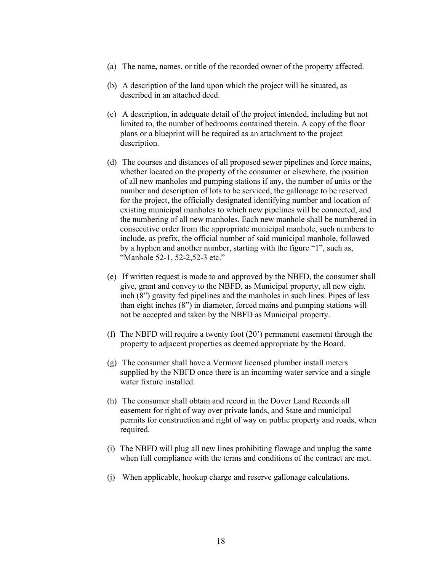- (a) The name**,** names, or title of the recorded owner of the property affected.
- (b) A description of the land upon which the project will be situated, as described in an attached deed.
- (c) A description, in adequate detail of the project intended, including but not limited to, the number of bedrooms contained therein. A copy of the floor plans or a blueprint will be required as an attachment to the project description.
- (d) The courses and distances of all proposed sewer pipelines and force mains, whether located on the property of the consumer or elsewhere, the position of all new manholes and pumping stations if any, the number of units or the number and description of lots to be serviced, the gallonage to be reserved for the project, the officially designated identifying number and location of existing municipal manholes to which new pipelines will be connected, and the numbering of all new manholes. Each new manhole shall be numbered in consecutive order from the appropriate municipal manhole, such numbers to include, as prefix, the official number of said municipal manhole, followed by a hyphen and another number, starting with the figure "1", such as, "Manhole 52-1, 52-2,52-3 etc."
- (e) If written request is made to and approved by the NBFD, the consumer shall give, grant and convey to the NBFD, as Municipal property, all new eight inch (8") gravity fed pipelines and the manholes in such lines. Pipes of less than eight inches (8") in diameter, forced mains and pumping stations will not be accepted and taken by the NBFD as Municipal property.
- (f) The NBFD will require a twenty foot (20') permanent easement through the property to adjacent properties as deemed appropriate by the Board.
- (g) The consumer shall have a Vermont licensed plumber install meters supplied by the NBFD once there is an incoming water service and a single water fixture installed.
- (h) The consumer shall obtain and record in the Dover Land Records all easement for right of way over private lands, and State and municipal permits for construction and right of way on public property and roads, when required.
- (i) The NBFD will plug all new lines prohibiting flowage and unplug the same when full compliance with the terms and conditions of the contract are met.
- (j) When applicable, hookup charge and reserve gallonage calculations.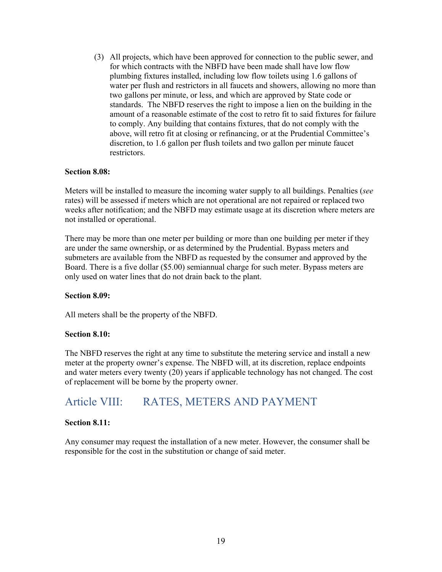(3) All projects, which have been approved for connection to the public sewer, and for which contracts with the NBFD have been made shall have low flow plumbing fixtures installed, including low flow toilets using 1.6 gallons of water per flush and restrictors in all faucets and showers, allowing no more than two gallons per minute, or less, and which are approved by State code or standards. The NBFD reserves the right to impose a lien on the building in the amount of a reasonable estimate of the cost to retro fit to said fixtures for failure to comply. Any building that contains fixtures, that do not comply with the above, will retro fit at closing or refinancing, or at the Prudential Committee's discretion, to 1.6 gallon per flush toilets and two gallon per minute faucet restrictors.

#### **Section 8.08:**

Meters will be installed to measure the incoming water supply to all buildings. Penalties (*see* rates) will be assessed if meters which are not operational are not repaired or replaced two weeks after notification; and the NBFD may estimate usage at its discretion where meters are not installed or operational.

There may be more than one meter per building or more than one building per meter if they are under the same ownership, or as determined by the Prudential. Bypass meters and submeters are available from the NBFD as requested by the consumer and approved by the Board. There is a five dollar (\$5.00) semiannual charge for such meter. Bypass meters are only used on water lines that do not drain back to the plant.

#### **Section 8.09:**

All meters shall be the property of the NBFD.

#### **Section 8.10:**

The NBFD reserves the right at any time to substitute the metering service and install a new meter at the property owner's expense. The NBFD will, at its discretion, replace endpoints and water meters every twenty (20) years if applicable technology has not changed. The cost of replacement will be borne by the property owner.

## <span id="page-18-0"></span>Article VIII: RATES, METERS AND PAYMENT

#### **Section 8.11:**

Any consumer may request the installation of a new meter. However, the consumer shall be responsible for the cost in the substitution or change of said meter.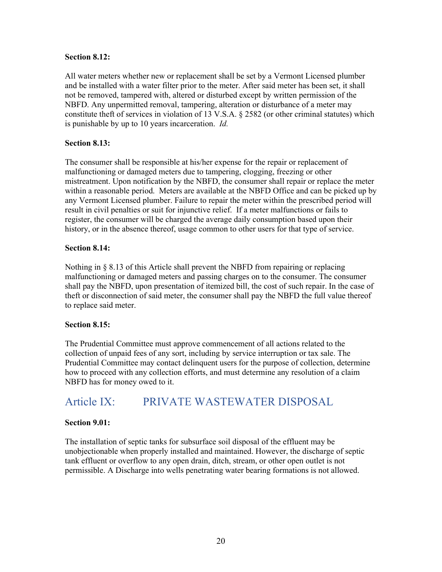#### **Section 8.12:**

All water meters whether new or replacement shall be set by a Vermont Licensed plumber and be installed with a water filter prior to the meter. After said meter has been set, it shall not be removed, tampered with, altered or disturbed except by written permission of the NBFD. Any unpermitted removal, tampering, alteration or disturbance of a meter may constitute theft of services in violation of 13 V.S.A. § 2582 (or other criminal statutes) which is punishable by up to 10 years incarceration. *Id.*

## **Section 8.13:**

The consumer shall be responsible at his/her expense for the repair or replacement of malfunctioning or damaged meters due to tampering, clogging, freezing or other mistreatment. Upon notification by the NBFD, the consumer shall repair or replace the meter within a reasonable period. Meters are available at the NBFD Office and can be picked up by any Vermont Licensed plumber. Failure to repair the meter within the prescribed period will result in civil penalties or suit for injunctive relief. If a meter malfunctions or fails to register, the consumer will be charged the average daily consumption based upon their history, or in the absence thereof, usage common to other users for that type of service.

## **Section 8.14:**

Nothing in § 8.13 of this Article shall prevent the NBFD from repairing or replacing malfunctioning or damaged meters and passing charges on to the consumer. The consumer shall pay the NBFD, upon presentation of itemized bill, the cost of such repair. In the case of theft or disconnection of said meter, the consumer shall pay the NBFD the full value thereof to replace said meter.

## **Section 8.15:**

The Prudential Committee must approve commencement of all actions related to the collection of unpaid fees of any sort, including by service interruption or tax sale. The Prudential Committee may contact delinquent users for the purpose of collection, determine how to proceed with any collection efforts, and must determine any resolution of a claim NBFD has for money owed to it.

## <span id="page-19-0"></span>Article IX: PRIVATE WASTEWATER DISPOSAL

## **Section 9.01:**

The installation of septic tanks for subsurface soil disposal of the effluent may be unobjectionable when properly installed and maintained. However, the discharge of septic tank effluent or overflow to any open drain, ditch, stream, or other open outlet is not permissible. A Discharge into wells penetrating water bearing formations is not allowed.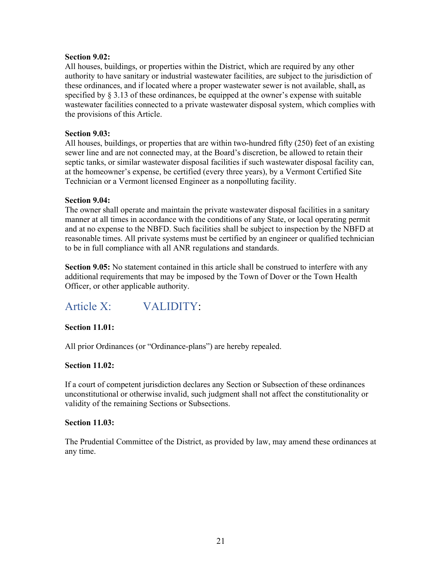#### **Section 9.02:**

All houses, buildings, or properties within the District, which are required by any other authority to have sanitary or industrial wastewater facilities, are subject to the jurisdiction of these ordinances, and if located where a proper wastewater sewer is not available, shall**,** as specified by  $\S 3.13$  of these ordinances, be equipped at the owner's expense with suitable wastewater facilities connected to a private wastewater disposal system, which complies with the provisions of this Article.

### **Section 9.03:**

All houses, buildings, or properties that are within two-hundred fifty (250) feet of an existing sewer line and are not connected may, at the Board's discretion, be allowed to retain their septic tanks, or similar wastewater disposal facilities if such wastewater disposal facility can, at the homeowner's expense, be certified (every three years), by a Vermont Certified Site Technician or a Vermont licensed Engineer as a nonpolluting facility.

#### **Section 9.04:**

The owner shall operate and maintain the private wastewater disposal facilities in a sanitary manner at all times in accordance with the conditions of any State, or local operating permit and at no expense to the NBFD. Such facilities shall be subject to inspection by the NBFD at reasonable times. All private systems must be certified by an engineer or qualified technician to be in full compliance with all ANR regulations and standards.

**Section 9.05:** No statement contained in this article shall be construed to interfere with any additional requirements that may be imposed by the Town of Dover or the Town Health Officer, or other applicable authority.

# <span id="page-20-0"></span>Article X: VALIDITY:

## **Section 11.01:**

All prior Ordinances (or "Ordinance-plans") are hereby repealed.

#### **Section 11.02:**

If a court of competent jurisdiction declares any Section or Subsection of these ordinances unconstitutional or otherwise invalid, such judgment shall not affect the constitutionality or validity of the remaining Sections or Subsections.

#### **Section 11.03:**

The Prudential Committee of the District, as provided by law, may amend these ordinances at any time.